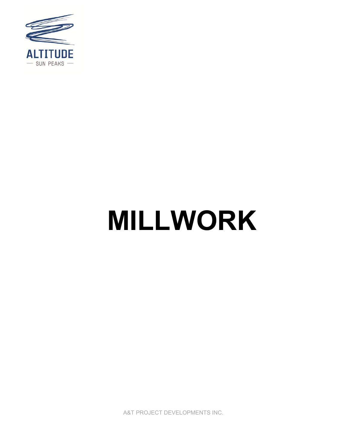

# **MILLWORK**

A&T PROJECT DEVELOPMENTS INC.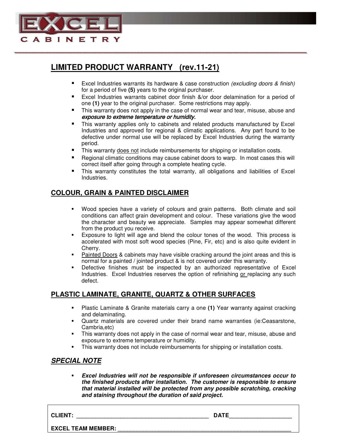

### **LIMITED PRODUCT WARRANTY (rev.11-21)**

<u> Andrewski drugovani području u predsjednje u predsjednje u predsjednje u predsjednje u predsjednje u predsjed</u>

- **Excel Industries warrants its hardware & case construction (excluding doors & finish)** for a period of five **(5)** years to the original purchaser.
- Excel Industries warrants cabinet door finish &/or door delamination for a period of one **(1)** year to the original purchaser. Some restrictions may apply.
- This warranty does not apply in the case of normal wear and tear, misuse, abuse and exposure to extreme temperature or humidity.
- This warranty applies only to cabinets and related products manufactured by Excel Industries and approved for regional & climatic applications. Any part found to be defective under normal use will be replaced by Excel Industries during the warranty period.
- This warranty does not include reimbursements for shipping or installation costs.
- Regional climatic conditions may cause cabinet doors to warp. In most cases this will correct itself after going through a complete heating cycle.
- This warranty constitutes the total warranty, all obligations and liabilities of Excel Industries.

#### **COLOUR, GRAIN & PAINTED DISCLAIMER**

- Wood species have a variety of colours and grain patterns. Both climate and soil conditions can affect grain development and colour. These variations give the wood the character and beauty we appreciate. Samples may appear somewhat different from the product you receive.
- Exposure to light will age and blend the colour tones of the wood. This process is accelerated with most soft wood species (Pine, Fir, etc) and is also quite evident in Cherry.
- Painted Doors & cabinets may have visible cracking around the joint areas and this is normal for a painted / jointed product & is not covered under this warranty.
- Defective finishes must be inspected by an authorized representative of Excel Industries. Excel Industries reserves the option of refinishing or replacing any such defect.

#### **PLASTIC LAMINATE, GRANITE, QUARTZ & OTHER SURFACES**

- Plastic Laminate & Granite materials carry a one **(1)** Year warranty against cracking and delaminating.
- Quartz materials are covered under their brand name warranties (ie:Ceasarstone, Cambria,etc)
- This warranty does not apply in the case of normal wear and tear, misuse, abuse and exposure to extreme temperature or humidity.
- This warranty does not include reimbursements for shipping or installation costs.

#### **SPECIAL NOTE**

 **Excel Industries will not be responsible if unforeseen circumstances occur to the finished products after installation. The customer is responsible to ensure that material installed will be protected from any possible scratching, cracking and staining throughout the duration of said project.**

**CLIENT: \_\_\_\_\_\_\_\_\_\_\_\_\_\_\_\_\_\_\_\_\_\_\_\_\_\_\_\_\_\_\_\_\_\_\_\_\_\_\_\_\_\_ DATE\_\_\_\_\_\_\_\_\_\_\_\_\_\_\_\_\_\_\_\_** 

**EXCEL TEAM MEMBER:**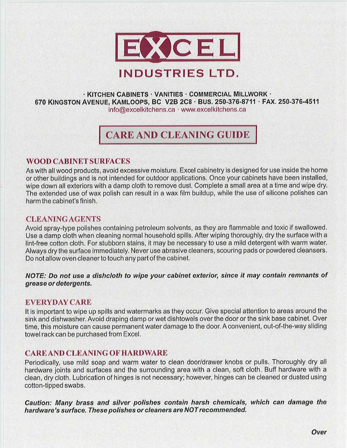

#### $\cdot$  KITCHEN CABINETS  $\cdot$  VANITIES  $\cdot$  COMMERCIAL MILLWORK  $\cdot$ 670 KINGSTON AVENUE, KAMLOOPS, BC V2B 2C8 · BUS. 250-376-8711 · FAX. 250-376-4511 info@excelkitchens.ca · www.excelkitchens.ca

# **CARE AND CLEANING GUIDE**

#### **WOOD CABINET SURFACES**

As with all wood products, avoid excessive moisture. Excel cabinetry is designed for use inside the home or other buildings and is not intended for outdoor applications. Once your cabinets have been installed, wipe down all exteriors with a damp cloth to remove dust. Complete a small area at a time and wipe dry. The extended use of wax polish can result in a wax film buildup, while the use of silicone polishes can harm the cabinet's finish.

#### **CLEANING AGENTS**

Avoid spray-type polishes containing petroleum solvents, as they are flammable and toxic if swallowed. Use a damp cloth when cleaning normal household spills. After wiping thoroughly, dry the surface with a lint-free cotton cloth. For stubborn stains, it may be necessary to use a mild detergent with warm water. Always dry the surface immediately. Never use abrasive cleaners, scouring pads or powdered cleansers. Do not allow oven cleaner to touch any part of the cabinet.

NOTE: Do not use a dishcloth to wipe your cabinet exterior, since it may contain remnants of grease or detergents.

#### **EVERYDAY CARE**

It is important to wipe up spills and watermarks as they occur. Give special attention to areas around the sink and dishwasher. Avoid draping damp or wet dishtowels over the door or the sink base cabinet. Over time, this moisture can cause permanent water damage to the door. A convenient, out-of-the-way sliding towel rack can be purchased from Excel.

#### **CARE AND CLEANING OF HARDWARE**

Periodically, use mild soap and warm water to clean door/drawer knobs or pulls. Thoroughly dry all hardware joints and surfaces and the surrounding area with a clean, soft cloth. Buff hardware with a clean, dry cloth. Lubrication of hinges is not necessary; however, hinges can be cleaned or dusted using cotton-tipped swabs.

Caution: Many brass and silver polishes contain harsh chemicals, which can damage the hardware's surface. These polishes or cleaners are NOT recommended.